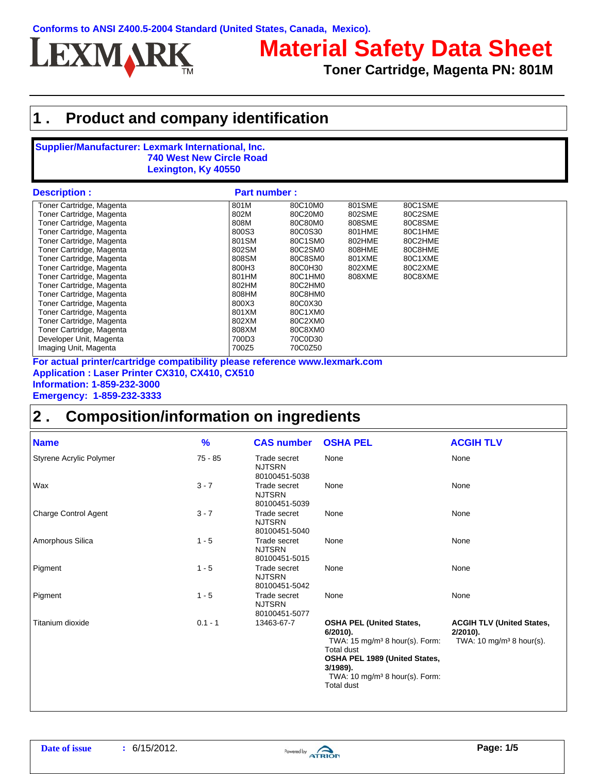

# **Material Safety Data Sheet**

**Toner Cartridge, Magenta PN: 801M**

## **1 . Product and company identification**

#### **Supplier/Manufacturer: Lexmark International, Inc. 740 West New Circle Road Lexington, Ky 40550**

| Description :            | <b>Part number:</b> |         |        |         |
|--------------------------|---------------------|---------|--------|---------|
| Toner Cartridge, Magenta | 801M                | 80C10M0 | 801SME | 80C1SME |
| Toner Cartridge, Magenta | 802M                | 80C20M0 | 802SME | 80C2SME |
| Toner Cartridge, Magenta | 808M                | 80C80M0 | 808SME | 80C8SME |
| Toner Cartridge, Magenta | 800S3               | 80C0S30 | 801HME | 80C1HME |
| Toner Cartridge, Magenta | 801SM               | 80C1SM0 | 802HME | 80C2HME |
| Toner Cartridge, Magenta | 802SM               | 80C2SM0 | 808HME | 80C8HME |
| Toner Cartridge, Magenta | 808SM               | 80C8SM0 | 801XME | 80C1XME |
| Toner Cartridge, Magenta | 800H3               | 80C0H30 | 802XME | 80C2XME |
| Toner Cartridge, Magenta | 801HM               | 80C1HM0 | 808XME | 80C8XME |
| Toner Cartridge, Magenta | 802HM               | 80C2HM0 |        |         |
| Toner Cartridge, Magenta | 808HM               | 80C8HM0 |        |         |
| Toner Cartridge, Magenta | 800X3               | 80C0X30 |        |         |
| Toner Cartridge, Magenta | 801XM               | 80C1XM0 |        |         |
| Toner Cartridge, Magenta | 802XM               | 80C2XM0 |        |         |
| Toner Cartridge, Magenta | 808XM               | 80C8XM0 |        |         |
| Developer Unit, Magenta  | 700D3               | 70C0D30 |        |         |
| Imaging Unit, Magenta    | 700Z5               | 70C0Z50 |        |         |

**Application : Laser Printer CX310, CX410, CX510 Information: 1-859-232-3000 Emergency: 1-859-232-3333 For actual printer/cartridge compatibility please reference www.lexmark.com**

#### **2 . Composition/information on ingredients**

| <b>Name</b>                 | $\frac{9}{6}$ | <b>CAS number</b>                              | <b>OSHA PEL</b>                                                                                                                                                                                                                 | <b>ACGIH TLV</b>                                                                       |
|-----------------------------|---------------|------------------------------------------------|---------------------------------------------------------------------------------------------------------------------------------------------------------------------------------------------------------------------------------|----------------------------------------------------------------------------------------|
| Styrene Acrylic Polymer     | 75 - 85       | Trade secret<br><b>NJTSRN</b><br>80100451-5038 | None                                                                                                                                                                                                                            | None                                                                                   |
| Wax                         | $3 - 7$       | Trade secret<br><b>NJTSRN</b><br>80100451-5039 | None                                                                                                                                                                                                                            | None                                                                                   |
| <b>Charge Control Agent</b> | $3 - 7$       | Trade secret<br><b>NJTSRN</b><br>80100451-5040 | None                                                                                                                                                                                                                            | None                                                                                   |
| Amorphous Silica            | $1 - 5$       | Trade secret<br><b>NJTSRN</b><br>80100451-5015 | None                                                                                                                                                                                                                            | None                                                                                   |
| Pigment                     | $1 - 5$       | Trade secret<br><b>NJTSRN</b><br>80100451-5042 | None                                                                                                                                                                                                                            | None                                                                                   |
| Pigment                     | $1 - 5$       | Trade secret<br><b>NJTSRN</b><br>80100451-5077 | None                                                                                                                                                                                                                            | None                                                                                   |
| Titanium dioxide            | $0.1 - 1$     | 13463-67-7                                     | <b>OSHA PEL (United States,</b><br>$6/2010$ ).<br>TWA: $15 \text{ mg/m}^3$ 8 hour(s). Form:<br><b>Total dust</b><br>OSHA PEL 1989 (United States,<br>3/1989).<br>TWA: $10 \text{ mg/m}^3$ 8 hour(s). Form:<br><b>Total dust</b> | <b>ACGIH TLV (United States,</b><br>$2/2010$ ).<br>TWA: $10 \text{ mg/m}^3$ 8 hour(s). |

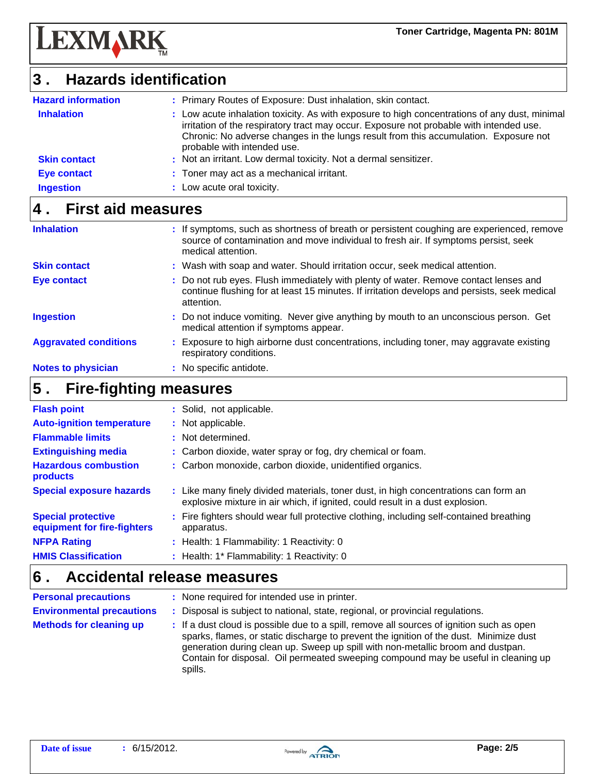

**LEXMARK** 

| <b>Hazard information</b> | : Primary Routes of Exposure: Dust inhalation, skin contact.                                                                                                                                                                                                                                                    |
|---------------------------|-----------------------------------------------------------------------------------------------------------------------------------------------------------------------------------------------------------------------------------------------------------------------------------------------------------------|
| <b>Inhalation</b>         | : Low acute inhalation toxicity. As with exposure to high concentrations of any dust, minimal<br>irritation of the respiratory tract may occur. Exposure not probable with intended use.<br>Chronic: No adverse changes in the lungs result from this accumulation. Exposure not<br>probable with intended use. |
| <b>Skin contact</b>       | : Not an irritant. Low dermal toxicity. Not a dermal sensitizer.                                                                                                                                                                                                                                                |
| <b>Eye contact</b>        | : Toner may act as a mechanical irritant.                                                                                                                                                                                                                                                                       |
| <b>Ingestion</b>          | : Low acute oral toxicity.                                                                                                                                                                                                                                                                                      |

# **4 . First aid measures**

| <b>Inhalation</b>            | : If symptoms, such as shortness of breath or persistent coughing are experienced, remove<br>source of contamination and move individual to fresh air. If symptoms persist, seek<br>medical attention. |
|------------------------------|--------------------------------------------------------------------------------------------------------------------------------------------------------------------------------------------------------|
| <b>Skin contact</b>          | : Wash with soap and water. Should irritation occur, seek medical attention.                                                                                                                           |
| Eye contact                  | : Do not rub eyes. Flush immediately with plenty of water. Remove contact lenses and<br>continue flushing for at least 15 minutes. If irritation develops and persists, seek medical<br>attention.     |
| <b>Ingestion</b>             | : Do not induce vomiting. Never give anything by mouth to an unconscious person. Get<br>medical attention if symptoms appear.                                                                          |
| <b>Aggravated conditions</b> | : Exposure to high airborne dust concentrations, including toner, may aggravate existing<br>respiratory conditions.                                                                                    |
| <b>Notes to physician</b>    | : No specific antidote.                                                                                                                                                                                |

#### **Fire-fighting measures 5 .**

| <b>Flash point</b>                                       | : Solid, not applicable.                                                                                                                                              |
|----------------------------------------------------------|-----------------------------------------------------------------------------------------------------------------------------------------------------------------------|
| <b>Auto-ignition temperature</b>                         | : Not applicable.                                                                                                                                                     |
| <b>Flammable limits</b>                                  | : Not determined.                                                                                                                                                     |
| <b>Extinguishing media</b>                               | : Carbon dioxide, water spray or fog, dry chemical or foam.                                                                                                           |
| <b>Hazardous combustion</b><br>products                  | : Carbon monoxide, carbon dioxide, unidentified organics.                                                                                                             |
| <b>Special exposure hazards</b>                          | : Like many finely divided materials, toner dust, in high concentrations can form an<br>explosive mixture in air which, if ignited, could result in a dust explosion. |
| <b>Special protective</b><br>equipment for fire-fighters | : Fire fighters should wear full protective clothing, including self-contained breathing<br>apparatus.                                                                |
| <b>NFPA Rating</b>                                       | : Health: 1 Flammability: 1 Reactivity: 0                                                                                                                             |
| <b>HMIS Classification</b>                               | : Health: 1* Flammability: 1 Reactivity: 0                                                                                                                            |

#### **Accidental release measures 6 .**

spills.

| <b>Personal precautions</b>      | : None required for intended use in printer.                                                                                                                                                                                                                                                                                                                 |
|----------------------------------|--------------------------------------------------------------------------------------------------------------------------------------------------------------------------------------------------------------------------------------------------------------------------------------------------------------------------------------------------------------|
| <b>Environmental precautions</b> | : Disposal is subject to national, state, regional, or provincial regulations.                                                                                                                                                                                                                                                                               |
| <b>Methods for cleaning up</b>   | : If a dust cloud is possible due to a spill, remove all sources of ignition such as open<br>sparks, flames, or static discharge to prevent the ignition of the dust. Minimize dust<br>generation during clean up. Sweep up spill with non-metallic broom and dustpan.<br>Contain for disposal. Oil permeated sweeping compound may be useful in cleaning up |

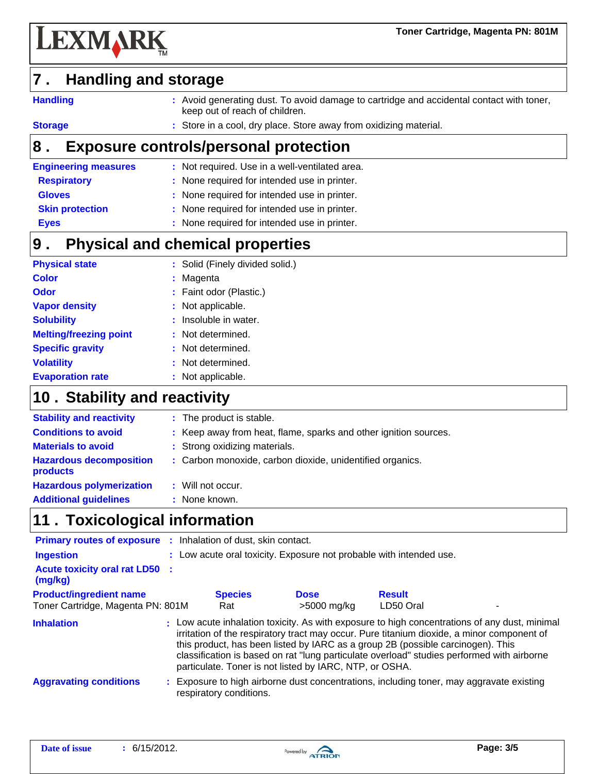

#### **Handling and storage 7 .**

**Handling**

**:** Avoid generating dust. To avoid damage to cartridge and accidental contact with toner, keep out of reach of children.

**Storage**

**:** Store in a cool, dry place. Store away from oxidizing material.

#### **8 . Exposure controls/personal protection**

| <b>Engineering measures</b> | : Not required. Use in a well-ventilated area. |
|-----------------------------|------------------------------------------------|
| <b>Respiratory</b>          | : None required for intended use in printer.   |
| <b>Gloves</b>               | : None required for intended use in printer.   |
| <b>Skin protection</b>      | : None required for intended use in printer.   |
| <b>Eyes</b>                 | : None required for intended use in printer.   |

#### **Physical and chemical properties 9 .**

| <b>Physical state</b>         | : Solid (Finely divided solid.) |
|-------------------------------|---------------------------------|
| <b>Color</b>                  | : Magenta                       |
| <b>Odor</b>                   | : Faint odor (Plastic.)         |
| <b>Vapor density</b>          | : Not applicable.               |
| <b>Solubility</b>             | : Insoluble in water.           |
| <b>Melting/freezing point</b> | : Not determined.               |
| <b>Specific gravity</b>       | : Not determined.               |
| <b>Volatility</b>             | : Not determined.               |
| <b>Evaporation rate</b>       | : Not applicable.               |

### 10 . Stability and reactivity

| <b>Stability and reactivity</b>            | : The product is stable.                                         |
|--------------------------------------------|------------------------------------------------------------------|
| <b>Conditions to avoid</b>                 | : Keep away from heat, flame, sparks and other ignition sources. |
| <b>Materials to avoid</b>                  | : Strong oxidizing materials.                                    |
| <b>Hazardous decomposition</b><br>products | : Carbon monoxide, carbon dioxide, unidentified organics.        |
| <b>Hazardous polymerization</b>            | : Will not occur.                                                |
| <b>Additional guidelines</b>               | : None known.                                                    |
|                                            |                                                                  |

# **11 . Toxicological information**

| <b>Primary routes of exposure :</b> Inhalation of dust, skin contact.<br><b>Ingestion</b> | : Low acute oral toxicity. Exposure not probable with intended use. |             |                                                                                                                                                                                                                                                                                                                                                                              |
|-------------------------------------------------------------------------------------------|---------------------------------------------------------------------|-------------|------------------------------------------------------------------------------------------------------------------------------------------------------------------------------------------------------------------------------------------------------------------------------------------------------------------------------------------------------------------------------|
| <b>Acute toxicity oral rat LD50 :</b><br>(mg/kg)                                          |                                                                     |             |                                                                                                                                                                                                                                                                                                                                                                              |
| <b>Product/ingredient name</b>                                                            | <b>Species</b>                                                      | <b>Dose</b> | <b>Result</b>                                                                                                                                                                                                                                                                                                                                                                |
| Toner Cartridge, Magenta PN: 801M                                                         | Rat                                                                 | >5000 mg/kg | LD50 Oral                                                                                                                                                                                                                                                                                                                                                                    |
| <b>Inhalation</b>                                                                         | particulate. Toner is not listed by IARC, NTP, or OSHA.             |             | : Low acute inhalation toxicity. As with exposure to high concentrations of any dust, minimal<br>irritation of the respiratory tract may occur. Pure titanium dioxide, a minor component of<br>this product, has been listed by IARC as a group 2B (possible carcinogen). This<br>classification is based on rat "lung particulate overload" studies performed with airborne |
| <b>Aggravating conditions</b>                                                             | respiratory conditions.                                             |             | : Exposure to high airborne dust concentrations, including toner, may aggravate existing                                                                                                                                                                                                                                                                                     |

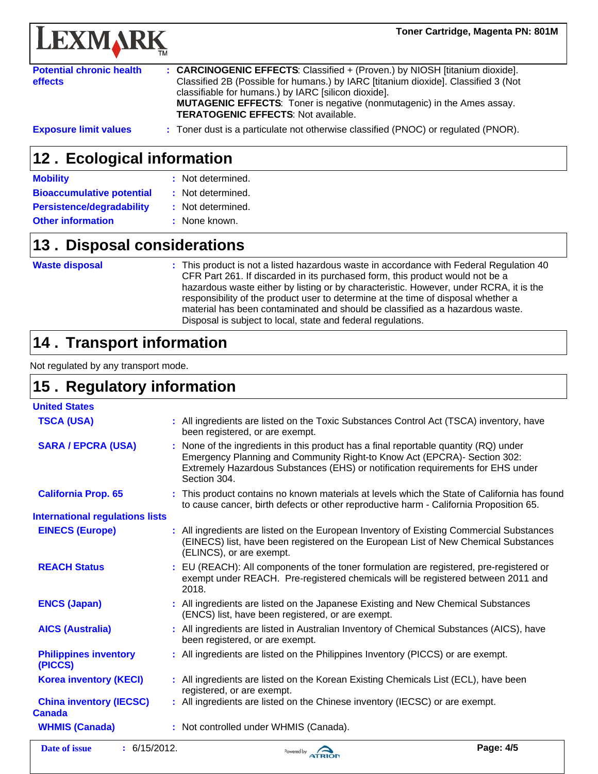

| <b>Potential chronic health</b><br>effects | : CARCINOGENIC EFFECTS: Classified + (Proven.) by NIOSH [titanium dioxide].<br>Classified 2B (Possible for humans.) by IARC [titanium dioxide]. Classified 3 (Not<br>classifiable for humans.) by IARC [silicon dioxide].<br><b>MUTAGENIC EFFECTS:</b> Toner is negative (nonmutagenic) in the Ames assay.<br><b>TERATOGENIC EFFECTS: Not available.</b> |
|--------------------------------------------|----------------------------------------------------------------------------------------------------------------------------------------------------------------------------------------------------------------------------------------------------------------------------------------------------------------------------------------------------------|
| <b>Exposure limit values</b>               | : Toner dust is a particulate not otherwise classified (PNOC) or regulated (PNOR).                                                                                                                                                                                                                                                                       |

#### 12. Ecological information

| <b>Mobility</b>                  | : Not determined. |
|----------------------------------|-------------------|
| <b>Bioaccumulative potential</b> | : Not determined. |
| <b>Persistence/degradability</b> | : Not determined. |
| <b>Other information</b>         | : None known.     |

#### **13. Disposal considerations**

#### **Waste disposal**

**:** This product is not a listed hazardous waste in accordance with Federal Regulation 40 CFR Part 261. If discarded in its purchased form, this product would not be a hazardous waste either by listing or by characteristic. However, under RCRA, it is the responsibility of the product user to determine at the time of disposal whether a material has been contaminated and should be classified as a hazardous waste. Disposal is subject to local, state and federal regulations.

# **14 . Transport information**

Not regulated by any transport mode.

### **15. Regulatory information**

| <b>United States</b>                            |                                                                                                                                                                                                                                                                     |
|-------------------------------------------------|---------------------------------------------------------------------------------------------------------------------------------------------------------------------------------------------------------------------------------------------------------------------|
| <b>TSCA (USA)</b>                               | : All ingredients are listed on the Toxic Substances Control Act (TSCA) inventory, have<br>been registered, or are exempt.                                                                                                                                          |
| <b>SARA / EPCRA (USA)</b>                       | : None of the ingredients in this product has a final reportable quantity (RQ) under<br>Emergency Planning and Community Right-to Know Act (EPCRA)- Section 302:<br>Extremely Hazardous Substances (EHS) or notification requirements for EHS under<br>Section 304. |
| <b>California Prop. 65</b>                      | : This product contains no known materials at levels which the State of California has found<br>to cause cancer, birth defects or other reproductive harm - California Proposition 65.                                                                              |
| <b>International regulations lists</b>          |                                                                                                                                                                                                                                                                     |
| <b>EINECS (Europe)</b>                          | : All ingredients are listed on the European Inventory of Existing Commercial Substances<br>(EINECS) list, have been registered on the European List of New Chemical Substances<br>(ELINCS), or are exempt.                                                         |
| <b>REACH Status</b>                             | : EU (REACH): All components of the toner formulation are registered, pre-registered or<br>exempt under REACH. Pre-registered chemicals will be registered between 2011 and<br>2018.                                                                                |
| <b>ENCS (Japan)</b>                             | : All ingredients are listed on the Japanese Existing and New Chemical Substances<br>(ENCS) list, have been registered, or are exempt.                                                                                                                              |
| <b>AICS (Australia)</b>                         | : All ingredients are listed in Australian Inventory of Chemical Substances (AICS), have<br>been registered, or are exempt.                                                                                                                                         |
| <b>Philippines inventory</b><br>(PICCS)         | : All ingredients are listed on the Philippines Inventory (PICCS) or are exempt.                                                                                                                                                                                    |
| <b>Korea inventory (KECI)</b>                   | : All ingredients are listed on the Korean Existing Chemicals List (ECL), have been<br>registered, or are exempt.                                                                                                                                                   |
| <b>China inventory (IECSC)</b><br><b>Canada</b> | : All ingredients are listed on the Chinese inventory (IECSC) or are exempt.                                                                                                                                                                                        |
| <b>WHMIS (Canada)</b>                           | : Not controlled under WHMIS (Canada).                                                                                                                                                                                                                              |